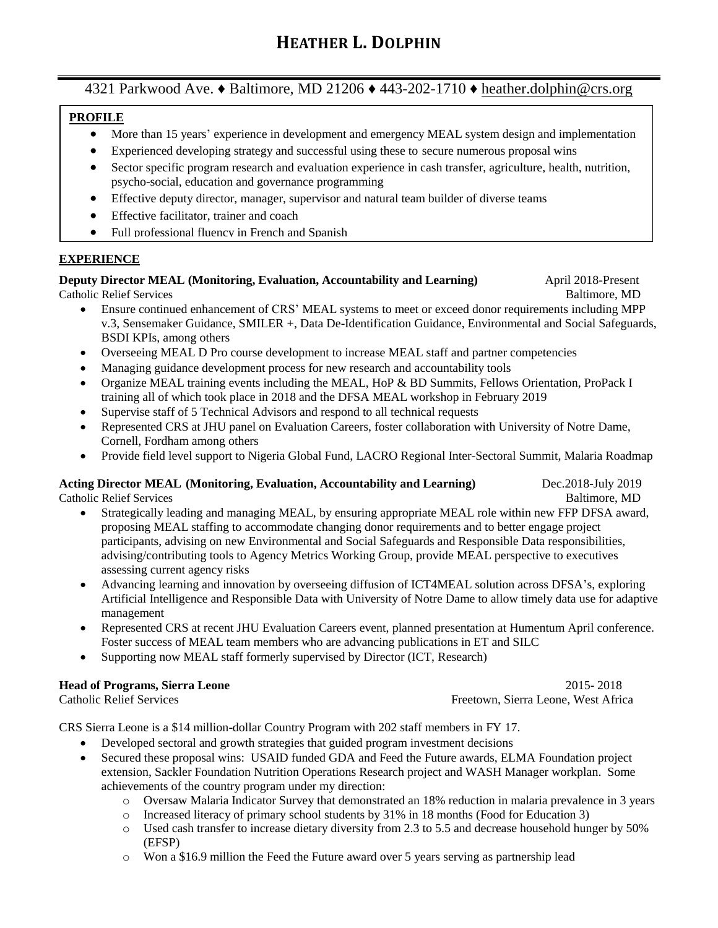# **PROFILE**

- More than 15 years' experience in development and emergency MEAL system design and implementation
- Experienced developing strategy and successful using these to secure numerous proposal wins
- Sector specific program research and evaluation experience in cash transfer, agriculture, health, nutrition, psycho-social, education and governance programming
- Effective deputy director, manager, supervisor and natural team builder of diverse teams
- Effective facilitator, trainer and coach
- Full professional fluency in French and Spanish

### **EXPERIENCE**

# **Deputy Director MEAL (Monitoring, Evaluation, Accountability and Learning)** April 2018-Present

Catholic Relief Services Baltimore, MD

- Ensure continued enhancement of CRS' MEAL systems to meet or exceed donor requirements including MPP v.3, Sensemaker Guidance, SMILER +, Data De-Identification Guidance, Environmental and Social Safeguards, BSDI KPIs, among others
- Overseeing MEAL D Pro course development to increase MEAL staff and partner competencies
- Managing guidance development process for new research and accountability tools
- Organize MEAL training events including the MEAL, HoP & BD Summits, Fellows Orientation, ProPack I training all of which took place in 2018 and the DFSA MEAL workshop in February 2019
- Supervise staff of 5 Technical Advisors and respond to all technical requests
- Represented CRS at JHU panel on Evaluation Careers, foster collaboration with University of Notre Dame, Cornell, Fordham among others
- Provide field level support to Nigeria Global Fund, LACRO Regional Inter-Sectoral Summit, Malaria Roadmap

# **Acting Director MEAL (Monitoring, Evaluation, Accountability and Learning)** Dec.2018-July 2019

Catholic Relief Services Baltimore, MD • Strategically leading and managing MEAL, by ensuring appropriate MEAL role within new FFP DFSA award, proposing MEAL staffing to accommodate changing donor requirements and to better engage project participants, advising on new Environmental and Social Safeguards and Responsible Data responsibilities, advising/contributing tools to Agency Metrics Working Group, provide MEAL perspective to executives

- assessing current agency risks • Advancing learning and innovation by overseeing diffusion of ICT4MEAL solution across DFSA's, exploring Artificial Intelligence and Responsible Data with University of Notre Dame to allow timely data use for adaptive management
- Represented CRS at recent JHU Evaluation Careers event, planned presentation at Humentum April conference. Foster success of MEAL team members who are advancing publications in ET and SILC
- Supporting now MEAL staff formerly supervised by Director (ICT, Research)

# **Head of Programs, Sierra Leone** 2015- 2018

Catholic Relief Services Freetown, Sierra Leone, West Africa

CRS Sierra Leone is a \$14 million-dollar Country Program with 202 staff members in FY 17.

- Developed sectoral and growth strategies that guided program investment decisions
- Secured these proposal wins: USAID funded GDA and Feed the Future awards, ELMA Foundation project extension, Sackler Foundation Nutrition Operations Research project and WASH Manager workplan. Some achievements of the country program under my direction:
	- o Oversaw Malaria Indicator Survey that demonstrated an 18% reduction in malaria prevalence in 3 years
	- o Increased literacy of primary school students by 31% in 18 months (Food for Education 3)
	- $\circ$  Used cash transfer to increase dietary diversity from 2.3 to 5.5 and decrease household hunger by 50% (EFSP)
	- o Won a \$16.9 million the Feed the Future award over 5 years serving as partnership lead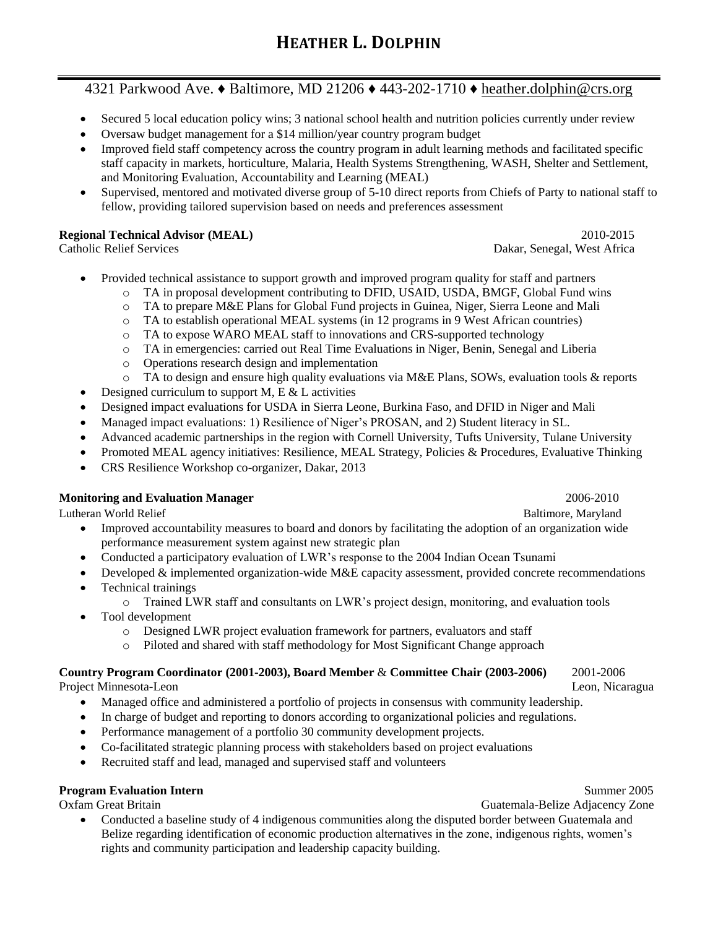- Secured 5 local education policy wins; 3 national school health and nutrition policies currently under review
- Oversaw budget management for a \$14 million/year country program budget
- Improved field staff competency across the country program in adult learning methods and facilitated specific staff capacity in markets, horticulture, Malaria, Health Systems Strengthening, WASH, Shelter and Settlement, and Monitoring Evaluation, Accountability and Learning (MEAL)
- Supervised, mentored and motivated diverse group of 5-10 direct reports from Chiefs of Party to national staff to fellow, providing tailored supervision based on needs and preferences assessment

# **Regional Technical Advisor (MEAL)** 2010**-**2015

Catholic Relief Services Dakar, Senegal, West Africa

- Provided technical assistance to support growth and improved program quality for staff and partners
	- o TA in proposal development contributing to DFID, USAID, USDA, BMGF, Global Fund wins
	- o TA to prepare M&E Plans for Global Fund projects in Guinea, Niger, Sierra Leone and Mali
	- o TA to establish operational MEAL systems (in 12 programs in 9 West African countries)
	- o TA to expose WARO MEAL staff to innovations and CRS-supported technology
	- o TA in emergencies: carried out Real Time Evaluations in Niger, Benin, Senegal and Liberia
	- o Operations research design and implementation
	- $\circ$  TA to design and ensure high quality evaluations via M&E Plans, SOWs, evaluation tools & reports
- Designed curriculum to support M, E  $&$  L activities
- Designed impact evaluations for USDA in Sierra Leone, Burkina Faso, and DFID in Niger and Mali
- Managed impact evaluations: 1) Resilience of Niger's PROSAN, and 2) Student literacy in SL.
- Advanced academic partnerships in the region with Cornell University, Tufts University, Tulane University
- Promoted MEAL agency initiatives: Resilience, MEAL Strategy, Policies & Procedures, Evaluative Thinking
- CRS Resilience Workshop co-organizer, Dakar, 2013

#### **Monitoring and Evaluation Manager** 2006-2010

Lutheran World Relief **Baltimore**, Maryland

- Improved accountability measures to board and donors by facilitating the adoption of an organization wide performance measurement system against new strategic plan
- Conducted a participatory evaluation of LWR's response to the 2004 Indian Ocean Tsunami
- Developed & implemented organization-wide M&E capacity assessment, provided concrete recommendations
- Technical trainings
	- o Trained LWR staff and consultants on LWR's project design, monitoring, and evaluation tools
- Tool development
	- o Designed LWR project evaluation framework for partners, evaluators and staff
	- o Piloted and shared with staff methodology for Most Significant Change approach

#### **Country Program Coordinator (2001-2003), Board Member** & **Committee Chair (2003-2006)**2001-2006

Project Minnesota-LeonLeon, Nicaragua

- Managed office and administered a portfolio of projects in consensus with community leadership.
- In charge of budget and reporting to donors according to organizational policies and regulations.
- Performance management of a portfolio 30 community development projects.
- Co-facilitated strategic planning process with stakeholders based on project evaluations
- Recruited staff and lead, managed and supervised staff and volunteers

# **Program Evaluation Intern**<br>
Summer 2005

Oxfam Great Britain Guatemala-Belize Adjacency Zone

• Conducted a baseline study of 4 indigenous communities along the disputed border between Guatemala and Belize regarding identification of economic production alternatives in the zone, indigenous rights, women's rights and community participation and leadership capacity building.

- 
- 
- 
- 
-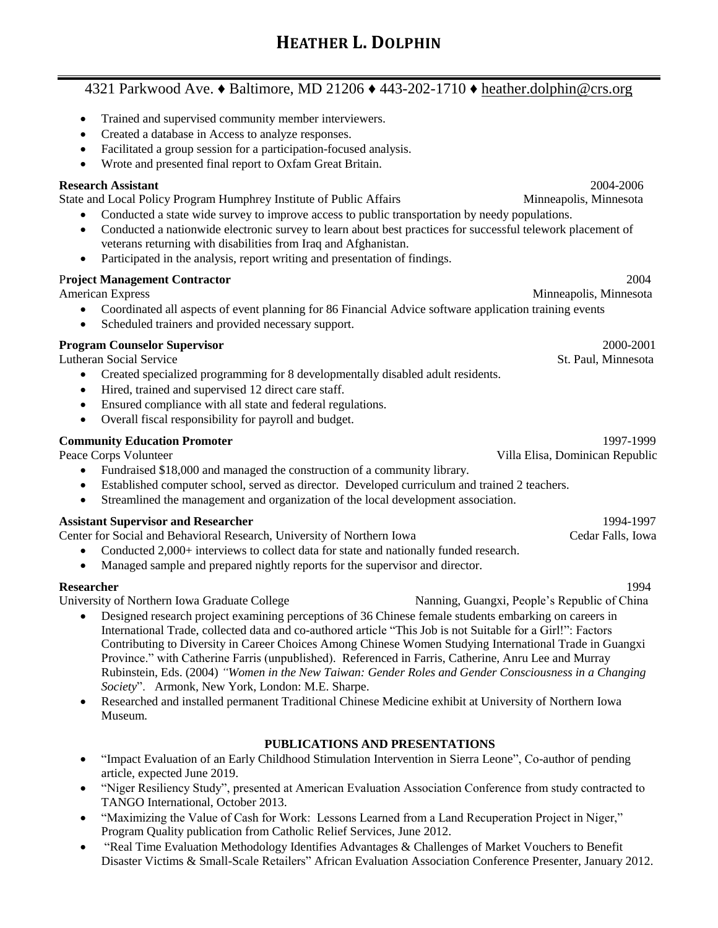- Trained and supervised community member interviewers.
- Created a database in Access to analyze responses.
- Facilitated a group session for a participation-focused analysis.
- Wrote and presented final report to Oxfam Great Britain.

# **Research Assistant** 2004-2006

State and Local Policy Program Humphrey Institute of Public Affairs Minneapolis, Minnesota

- Conducted a state wide survey to improve access to public transportation by needy populations.
- Conducted a nationwide electronic survey to learn about best practices for successful telework placement of veterans returning with disabilities from Iraq and Afghanistan.
- Participated in the analysis, report writing and presentation of findings.

# P**roject Management Contractor** 2004

American Express Minnesota American Express Minnesota

- Coordinated all aspects of event planning for 86 Financial Advice software application training events
- Scheduled trainers and provided necessary support.

# **Program Counselor Supervisor**2000-2001

Lutheran Social ServiceSt. Paul, Minnesota

- Created specialized programming for 8 developmentally disabled adult residents.
- Hired, trained and supervised 12 direct care staff.
- Ensured compliance with all state and federal regulations.
- Overall fiscal responsibility for payroll and budget.

# **Community Education Promoter** 1997-1999

- Fundraised \$18,000 and managed the construction of a community library.
- Established computer school, served as director. Developed curriculum and trained 2 teachers.
- Streamlined the management and organization of the local development association.

# **Assistant Supervisor and Researcher** 1994-1997

Center for Social and Behavioral Research, University of Northern Iowa Cedar Falls, Iowa

- Conducted 2,000+ interviews to collect data for state and nationally funded research.
- Managed sample and prepared nightly reports for the supervisor and director.

#### **Researcher** 1994

University of Northern Iowa Graduate College **Nanning, Guangxi, People's Republic of China** 

- 
- Designed research project examining perceptions of 36 Chinese female students embarking on careers in International Trade, collected data and co-authored article "This Job is not Suitable for a Girl!": Factors Contributing to Diversity in Career Choices Among Chinese Women Studying International Trade in Guangxi Province." with Catherine Farris (unpublished). Referenced in Farris, Catherine, Anru Lee and Murray Rubinstein, Eds. (2004) *"Women in the New Taiwan: Gender Roles and Gender Consciousness in a Changing Society*". Armonk, New York, London: M.E. Sharpe.
- Researched and installed permanent Traditional Chinese Medicine exhibit at University of Northern Iowa Museum.

# **PUBLICATIONS AND PRESENTATIONS**

- "Impact Evaluation of an Early Childhood Stimulation Intervention in Sierra Leone", Co-author of pending article, expected June 2019.
- "Niger Resiliency Study", presented at American Evaluation Association Conference from study contracted to TANGO International, October 2013.
- "Maximizing the Value of Cash for Work: Lessons Learned from a Land Recuperation Project in Niger," Program Quality publication from Catholic Relief Services, June 2012.
- "Real Time Evaluation Methodology Identifies Advantages & Challenges of Market Vouchers to Benefit Disaster Victims & Small-Scale Retailers" African Evaluation Association Conference Presenter, January 2012.

Peace Corps VolunteerVilla Elisa, Dominican Republic